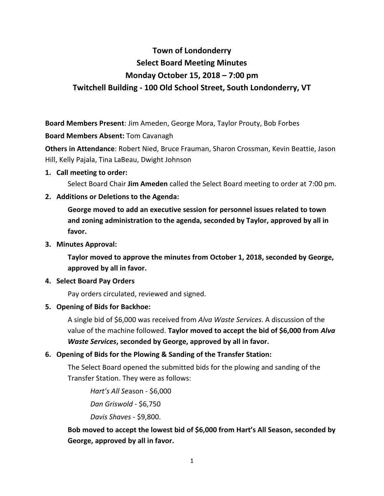# **Town of Londonderry Select Board Meeting Minutes Monday October 15, 2018 – 7:00 pm Twitchell Building - 100 Old School Street, South Londonderry, VT**

**Board Members Present**: Jim Ameden, George Mora, Taylor Prouty, Bob Forbes

**Board Members Absent:** Tom Cavanagh

**Others in Attendance**: Robert Nied, Bruce Frauman, Sharon Crossman, Kevin Beattie, Jason Hill, Kelly Pajala, Tina LaBeau, Dwight Johnson

**1. Call meeting to order:**

Select Board Chair **Jim Ameden** called the Select Board meeting to order at 7:00 pm.

**2. Additions or Deletions to the Agenda:**

**George moved to add an executive session for personnel issues related to town and zoning administration to the agenda, seconded by Taylor, approved by all in favor.**

**3. Minutes Approval:**

**Taylor moved to approve the minutes from October 1, 2018, seconded by George, approved by all in favor.**

**4. Select Board Pay Orders**

Pay orders circulated, reviewed and signed.

**5. Opening of Bids for Backhoe:**

A single bid of \$6,000 was received from *Alva Waste Services*. A discussion of the value of the machine followed. **Taylor moved to accept the bid of \$6,000 from** *Alva Waste Services***, seconded by George, approved by all in favor.**

# **6. Opening of Bids for the Plowing & Sanding of the Transfer Station:**

The Select Board opened the submitted bids for the plowing and sanding of the Transfer Station. They were as follows:

*Hart's All Se*ason - \$6,000 *Dan Griswold* - \$6,750 *Davis Shaves* - \$9,800.

**Bob moved to accept the lowest bid of \$6,000 from Hart's All Season, seconded by George, approved by all in favor.**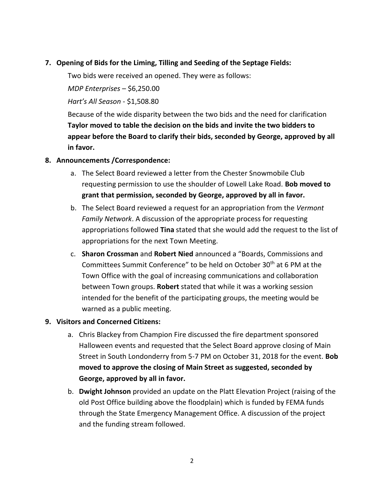#### **7. Opening of Bids for the Liming, Tilling and Seeding of the Septage Fields:**

Two bids were received an opened. They were as follows:

*MDP Enterprises* – \$6,250.00

*Hart's All Season* - \$1,508.80

Because of the wide disparity between the two bids and the need for clarification **Taylor moved to table the decision on the bids and invite the two bidders to appear before the Board to clarify their bids, seconded by George, approved by all in favor.** 

## **8. Announcements /Correspondence:**

- a. The Select Board reviewed a letter from the Chester Snowmobile Club requesting permission to use the shoulder of Lowell Lake Road. **Bob moved to grant that permission, seconded by George, approved by all in favor.**
- b. The Select Board reviewed a request for an appropriation from the *Vermont Family Network*. A discussion of the appropriate process for requesting appropriations followed **Tina** stated that she would add the request to the list of appropriations for the next Town Meeting.
- c. **Sharon Crossman** and **Robert Nied** announced a "Boards, Commissions and Committees Summit Conference" to be held on October 30<sup>th</sup> at 6 PM at the Town Office with the goal of increasing communications and collaboration between Town groups. **Robert** stated that while it was a working session intended for the benefit of the participating groups, the meeting would be warned as a public meeting.

#### **9. Visitors and Concerned Citizens:**

- a. Chris Blackey from Champion Fire discussed the fire department sponsored Halloween events and requested that the Select Board approve closing of Main Street in South Londonderry from 5-7 PM on October 31, 2018 for the event. **Bob moved to approve the closing of Main Street as suggested, seconded by George, approved by all in favor.**
- b. **Dwight Johnson** provided an update on the Platt Elevation Project (raising of the old Post Office building above the floodplain) which is funded by FEMA funds through the State Emergency Management Office. A discussion of the project and the funding stream followed.